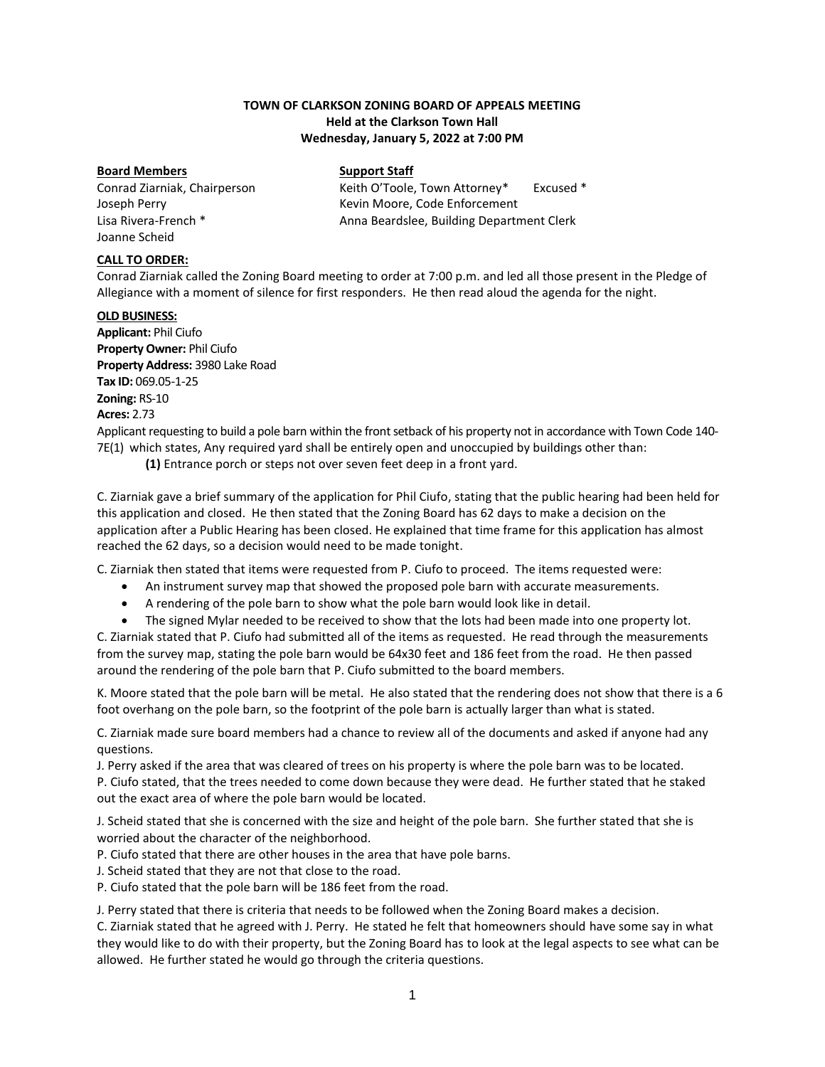## **TOWN OF CLARKSON ZONING BOARD OF APPEALS MEETING Held at the Clarkson Town Hall Wednesday, January 5, 2022 at 7:00 PM**

#### **Board Members Support Staff**

Joanne Scheid

Conrad Ziarniak, Chairperson Keith O'Toole, Town Attorney\* Excused \* Joseph Perry **Kevin Moore, Code Enforcement** Lisa Rivera-French \* The Anna Beardslee, Building Department Clerk

## **CALL TO ORDER:**

Conrad Ziarniak called the Zoning Board meeting to order at 7:00 p.m. and led all those present in the Pledge of Allegiance with a moment of silence for first responders. He then read aloud the agenda for the night.

#### **OLD BUSINESS:**

**Applicant:** Phil Ciufo **Property Owner:** Phil Ciufo **Property Address:** 3980 Lake Road **Tax ID:** 069.05-1-25 **Zoning:** RS-10 **Acres:** 2.73

Applicant requesting to build a pole barn within the front setback of his property not in accordance with Town Code 140- 7E(1[\) w](https://ecode360.com/8650564#8650564)hich states, Any required yard shall be entirely open and unoccupied by buildings other than:

**[\(1\)](https://ecode360.com/8650565#8650565)** Entrance porch or steps not over seven feet deep in a front yard.

C. Ziarniak gave a brief summary of the application for Phil Ciufo, stating that the public hearing had been held for this application and closed. He then stated that the Zoning Board has 62 days to make a decision on the application after a Public Hearing has been closed. He explained that time frame for this application has almost reached the 62 days, so a decision would need to be made tonight.

C. Ziarniak then stated that items were requested from P. Ciufo to proceed. The items requested were:

- An instrument survey map that showed the proposed pole barn with accurate measurements.
- A rendering of the pole barn to show what the pole barn would look like in detail.
- The signed Mylar needed to be received to show that the lots had been made into one property lot.

C. Ziarniak stated that P. Ciufo had submitted all of the items as requested. He read through the measurements from the survey map, stating the pole barn would be 64x30 feet and 186 feet from the road. He then passed around the rendering of the pole barn that P. Ciufo submitted to the board members.

K. Moore stated that the pole barn will be metal. He also stated that the rendering does not show that there is a 6 foot overhang on the pole barn, so the footprint of the pole barn is actually larger than what is stated.

C. Ziarniak made sure board members had a chance to review all of the documents and asked if anyone had any questions.

J. Perry asked if the area that was cleared of trees on his property is where the pole barn was to be located. P. Ciufo stated, that the trees needed to come down because they were dead. He further stated that he staked out the exact area of where the pole barn would be located.

J. Scheid stated that she is concerned with the size and height of the pole barn. She further stated that she is worried about the character of the neighborhood.

P. Ciufo stated that there are other houses in the area that have pole barns.

J. Scheid stated that they are not that close to the road.

P. Ciufo stated that the pole barn will be 186 feet from the road.

J. Perry stated that there is criteria that needs to be followed when the Zoning Board makes a decision.

C. Ziarniak stated that he agreed with J. Perry. He stated he felt that homeowners should have some say in what they would like to do with their property, but the Zoning Board has to look at the legal aspects to see what can be allowed. He further stated he would go through the criteria questions.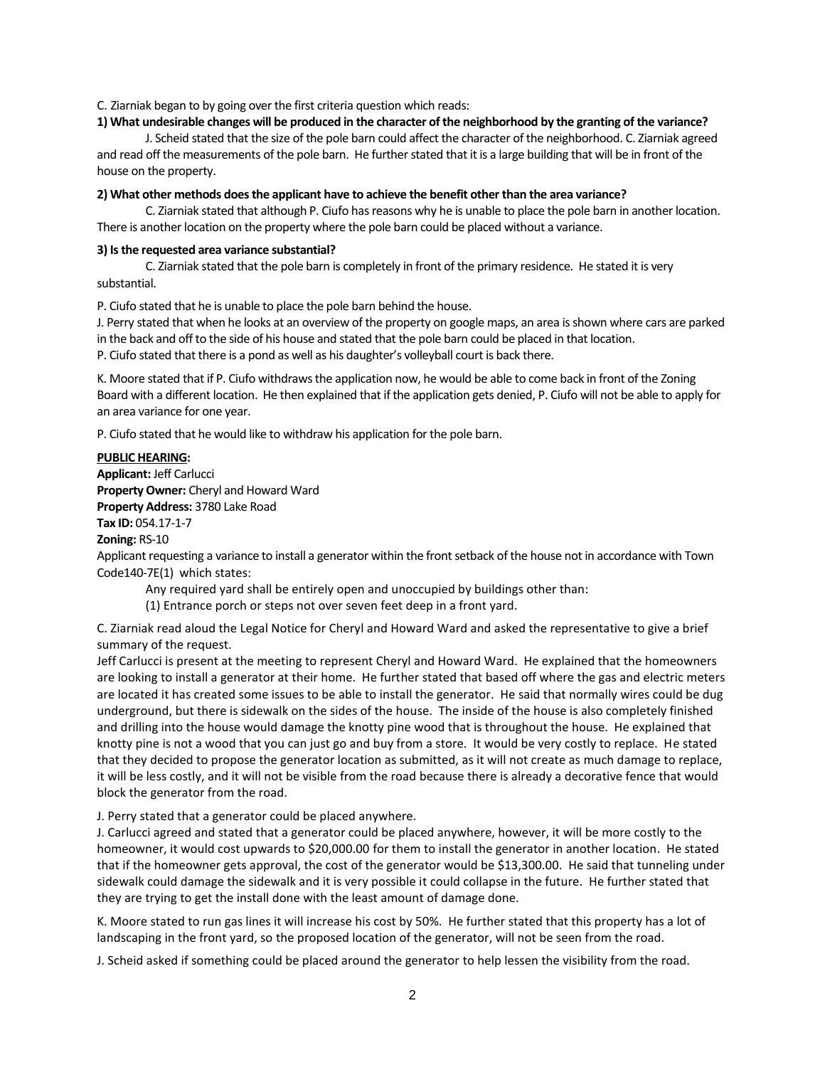C. Ziarniak began to by going over the first criteria question which reads:

#### **1) What undesirable changes will be produced in the character of the neighborhood by the granting of the variance?**

J. Scheid stated that the size of the pole barn could affect the character of the neighborhood. C. Ziarniak agreed and read off the measurements of the pole barn. He further stated that it is a large building that will be in front of the house on the property.

#### **2) What other methods does the applicant have to achieve the benefit other than the area variance?**

C. Ziarniak stated that although P. Ciufo has reasons why he is unable to place the pole barn in another location. There is another location on the property where the pole barn could be placed without a variance.

#### **3) Is the requested area variance substantial?**

C. Ziarniak stated that the pole barn is completely in front of the primary residence. He stated it is very substantial.

P. Ciufo stated that he is unable to place the pole barn behind the house.

J. Perry stated that when he looks at an overview of the property on google maps, an area is shown where cars are parked in the back and off to the side of his house and stated that the pole barn could be placed in that location.

P. Ciufo stated that there is a pond as well as his daughter's volleyball court is back there.

K. Moore stated that if P. Ciufo withdraws the application now, he would be able to come back in front of the Zoning Board with a different location. He then explained that if the application gets denied, P. Ciufo will not be able to apply for an area variance for one year.

P. Ciufo stated that he would like to withdraw his application for the pole barn.

#### **PUBLIC HEARING:**

**Applicant:** Jeff Carlucci **Property Owner:** Cheryl and Howard Ward **Property Address:** 3780 Lake Road **Tax ID:** 054.17-1-7

**Zoning:** RS-10

Applicant requesting a variance to install a generator within the front setback of the house not in accordance with Town Code140-7E(1[\) w](https://ecode360.com/8650564#8650564)hich states:

Any required yard shall be entirely open and unoccupied by buildings other than:

[\(1\)](https://ecode360.com/8650565#8650565) Entrance porch or steps not over seven feet deep in a front yard.

C. Ziarniak read aloud the Legal Notice for Cheryl and Howard Ward and asked the representative to give a brief summary of the request.

Jeff Carlucci is present at the meeting to represent Cheryl and Howard Ward. He explained that the homeowners are looking to install a generator at their home. He further stated that based off where the gas and electric meters are located it has created some issues to be able to install the generator. He said that normally wires could be dug underground, but there is sidewalk on the sides of the house. The inside of the house is also completely finished and drilling into the house would damage the knotty pine wood that is throughout the house. He explained that knotty pine is not a wood that you can just go and buy from a store. It would be very costly to replace. He stated that they decided to propose the generator location as submitted, as it will not create as much damage to replace, it will be less costly, and it will not be visible from the road because there is already a decorative fence that would block the generator from the road.

J. Perry stated that a generator could be placed anywhere.

J. Carlucci agreed and stated that a generator could be placed anywhere, however, it will be more costly to the homeowner, it would cost upwards to \$20,000.00 for them to install the generator in another location. He stated that if the homeowner gets approval, the cost of the generator would be \$13,300.00. He said that tunneling under sidewalk could damage the sidewalk and it is very possible it could collapse in the future. He further stated that they are trying to get the install done with the least amount of damage done.

K. Moore stated to run gas lines it will increase his cost by 50%. He further stated that this property has a lot of landscaping in the front yard, so the proposed location of the generator, will not be seen from the road.

J. Scheid asked if something could be placed around the generator to help lessen the visibility from the road.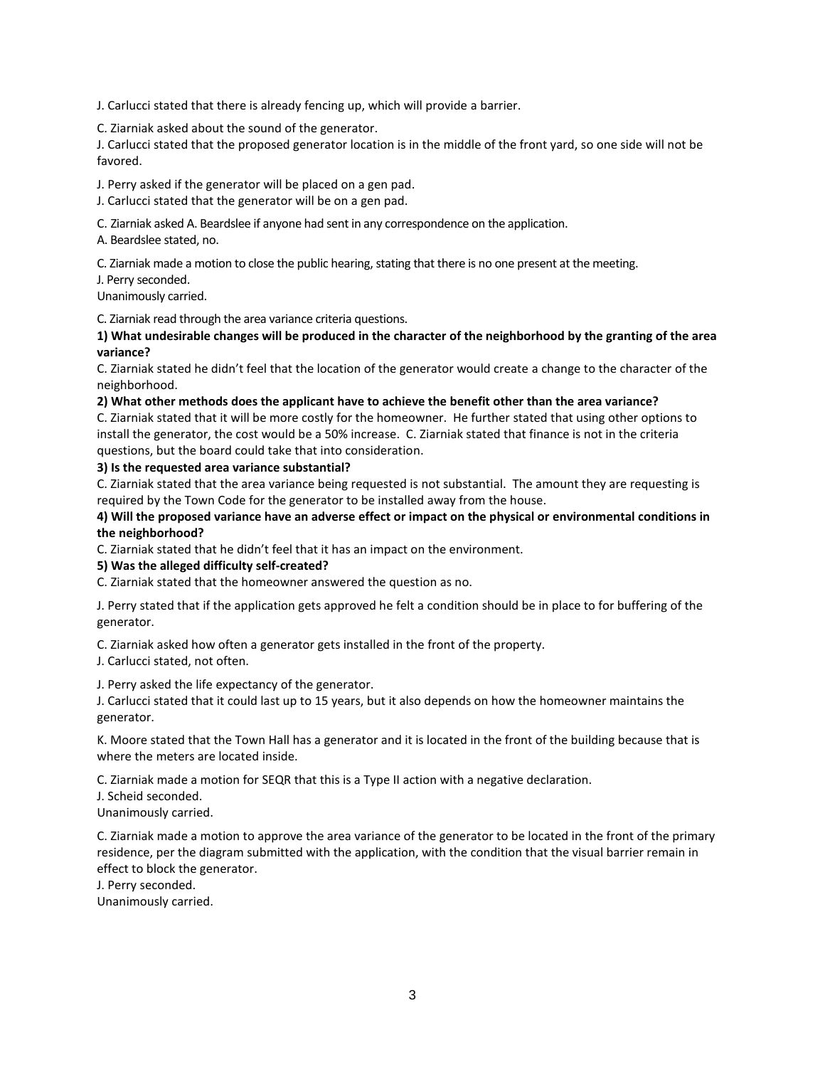J. Carlucci stated that there is already fencing up, which will provide a barrier.

C. Ziarniak asked about the sound of the generator.

J. Carlucci stated that the proposed generator location is in the middle of the front yard, so one side will not be favored.

J. Perry asked if the generator will be placed on a gen pad.

J. Carlucci stated that the generator will be on a gen pad.

C. Ziarniak asked A. Beardslee if anyone had sent in any correspondence on the application.

A. Beardslee stated, no.

C. Ziarniak made a motion to close the public hearing, stating that there is no one present at the meeting.

J. Perry seconded.

Unanimously carried.

C. Ziarniak read through the area variance criteria questions.

**1) What undesirable changes will be produced in the character of the neighborhood by the granting of the area variance?**

C. Ziarniak stated he didn't feel that the location of the generator would create a change to the character of the neighborhood.

**2) What other methods does the applicant have to achieve the benefit other than the area variance?** 

C. Ziarniak stated that it will be more costly for the homeowner. He further stated that using other options to install the generator, the cost would be a 50% increase. C. Ziarniak stated that finance is not in the criteria questions, but the board could take that into consideration.

#### **3) Is the requested area variance substantial?**

C. Ziarniak stated that the area variance being requested is not substantial. The amount they are requesting is required by the Town Code for the generator to be installed away from the house.

**4) Will the proposed variance have an adverse effect or impact on the physical or environmental conditions in the neighborhood?**

C. Ziarniak stated that he didn't feel that it has an impact on the environment.

## **5) Was the alleged difficulty self-created?**

C. Ziarniak stated that the homeowner answered the question as no.

J. Perry stated that if the application gets approved he felt a condition should be in place to for buffering of the generator.

C. Ziarniak asked how often a generator gets installed in the front of the property.

J. Carlucci stated, not often.

J. Perry asked the life expectancy of the generator.

J. Carlucci stated that it could last up to 15 years, but it also depends on how the homeowner maintains the generator.

K. Moore stated that the Town Hall has a generator and it is located in the front of the building because that is where the meters are located inside.

C. Ziarniak made a motion for SEQR that this is a Type II action with a negative declaration.

J. Scheid seconded.

Unanimously carried.

C. Ziarniak made a motion to approve the area variance of the generator to be located in the front of the primary residence, per the diagram submitted with the application, with the condition that the visual barrier remain in effect to block the generator.

J. Perry seconded.

Unanimously carried.